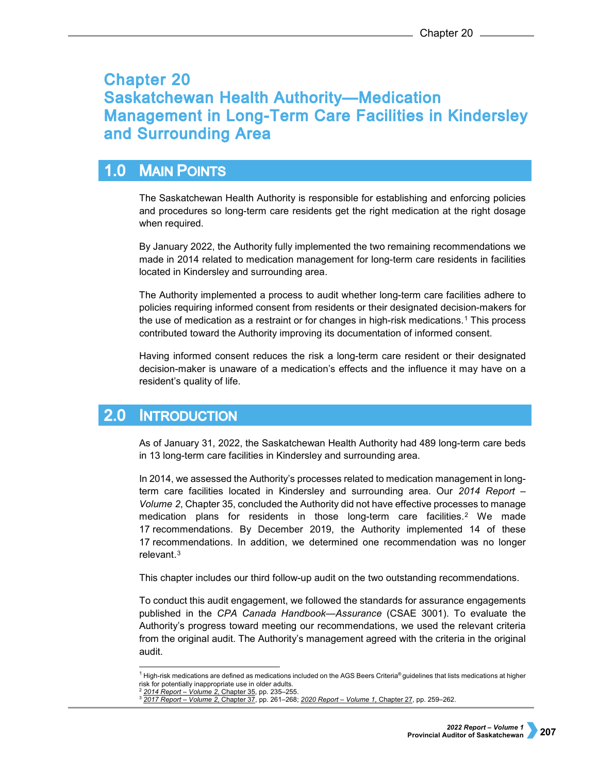# **Chapter 20 Saskatchewan Health Authority-Medication Management in Long-Term Care Facilities in Kindersley** and Surrounding Area

### **MAIN POINTS**  $1.0$

The Saskatchewan Health Authority is responsible for establishing and enforcing policies and procedures so long-term care residents get the right medication at the right dosage when required.

By January 2022, the Authority fully implemented the two remaining recommendations we made in 2014 related to medication management for long-term care residents in facilities located in Kindersley and surrounding area.

The Authority implemented a process to audit whether long-term care facilities adhere to policies requiring informed consent from residents or their designated decision-makers for the use of medication as a restraint or for changes in high-risk medications.[1](#page-0-0) This process contributed toward the Authority improving its documentation of informed consent.

Having informed consent reduces the risk a long-term care resident or their designated decision-maker is unaware of a medication's effects and the influence it may have on a resident's quality of life.

#### $2.0$ **INTRODUCTION**

As of January 31, 2022, the Saskatchewan Health Authority had 489 long-term care beds in 13 long-term care facilities in Kindersley and surrounding area.

In 2014, we assessed the Authority's processes related to medication management in longterm care facilities located in Kindersley and surrounding area. Our *2014 Report – Volume 2*, Chapter 35, concluded the Authority did not have effective processes to manage medication plans for residents in those long-term care facilities.[2](#page-0-1) We made 17 recommendations. By December 2019, the Authority implemented 14 of these 17 recommendations. In addition, we determined one recommendation was no longer relevant.[3](#page-0-2)

This chapter includes our third follow-up audit on the two outstanding recommendations.

To conduct this audit engagement, we followed the standards for assurance engagements published in the *CPA Canada Handbook—Assurance* (CSAE 3001). To evaluate the Authority's progress toward meeting our recommendations, we used the relevant criteria from the original audit. The Authority's management agreed with the criteria in the original audit.

j  $^1$  High-risk medications are defined as medications included on the AGS Beers Criteria® guidelines that lists medications at higher risk for potentially inappropriate use in older adults.

<span id="page-0-2"></span><span id="page-0-1"></span><span id="page-0-0"></span><sup>2</sup> *[2014 Report – Volume 2](https://auditor.sk.ca/pub/publications/public_reports/2014/Volume_2/2014v2_35_Heartland-Medication%20Mgmt.pdf)*, Chapter 35, pp. 235–255.

<sup>3</sup> *[2017 Report – Volume 2](https://auditor.sk.ca/pub/publications/public_reports/2017/Volume_2/CH%2037_Heartland%20RHA_Medication%20Mgmt.pdf)*, Chapter 37, pp. 261–268; *[2020 Report – Volume 1](https://auditor.sk.ca/pub/publications/public_reports/2020/Volume_1/CH%2027%20-%20Saskatchewan%20Health%20Authority%E2%80%94Medication%20Management%20in%20Long-Term%20Care%20Facilities%20in%20Kindersley%20and%20Surrounding%20Area.pdf)*, Chapter 27, pp. 259–262.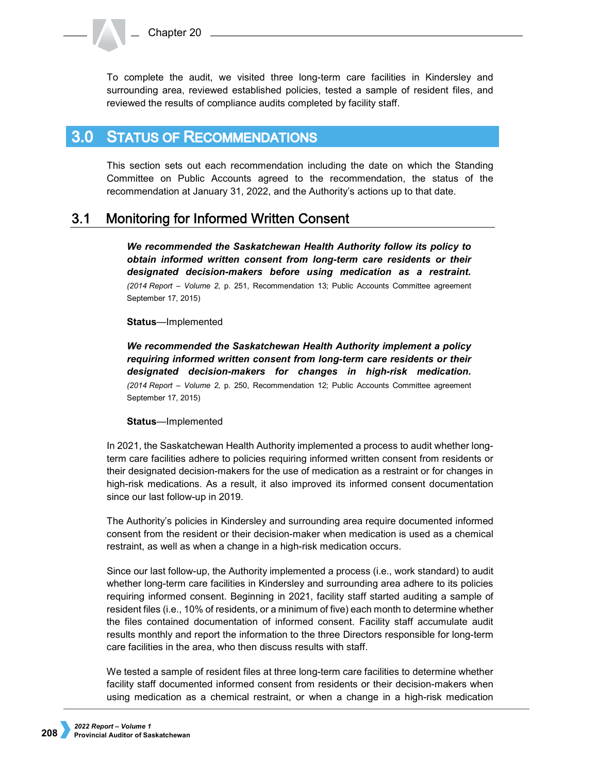To complete the audit, we visited three long-term care facilities in Kindersley and surrounding area, reviewed established policies, tested a sample of resident files, and reviewed the results of compliance audits completed by facility staff.

#### $3.0<sub>2</sub>$ **STATUS OF RECOMMENDATIONS**

This section sets out each recommendation including the date on which the Standing Committee on Public Accounts agreed to the recommendation, the status of the recommendation at January 31, 2022, and the Authority's actions up to that date.

#### $3.1$ **Monitoring for Informed Written Consent**

*We recommended the Saskatchewan Health Authority follow its policy to obtain informed written consent from long-term care residents or their designated decision-makers before using medication as a restraint. (2014 Report – Volume 2,* p. 251, Recommendation 13; Public Accounts Committee agreement September 17, 2015)

## **Status**—Implemented

*We recommended the Saskatchewan Health Authority implement a policy requiring informed written consent from long-term care residents or their designated decision-makers for changes in high-risk medication. (2014 Report – Volume 2,* p. 250, Recommendation 12; Public Accounts Committee agreement September 17, 2015)

## **Status**—Implemented

In 2021, the Saskatchewan Health Authority implemented a process to audit whether longterm care facilities adhere to policies requiring informed written consent from residents or their designated decision-makers for the use of medication as a restraint or for changes in high-risk medications. As a result, it also improved its informed consent documentation since our last follow-up in 2019.

The Authority's policies in Kindersley and surrounding area require documented informed consent from the resident or their decision-maker when medication is used as a chemical restraint, as well as when a change in a high-risk medication occurs.

Since our last follow-up, the Authority implemented a process (i.e., work standard) to audit whether long-term care facilities in Kindersley and surrounding area adhere to its policies requiring informed consent. Beginning in 2021, facility staff started auditing a sample of resident files (i.e., 10% of residents, or a minimum of five) each month to determine whether the files contained documentation of informed consent. Facility staff accumulate audit results monthly and report the information to the three Directors responsible for long-term care facilities in the area, who then discuss results with staff.

We tested a sample of resident files at three long-term care facilities to determine whether facility staff documented informed consent from residents or their decision-makers when using medication as a chemical restraint, or when a change in a high-risk medication